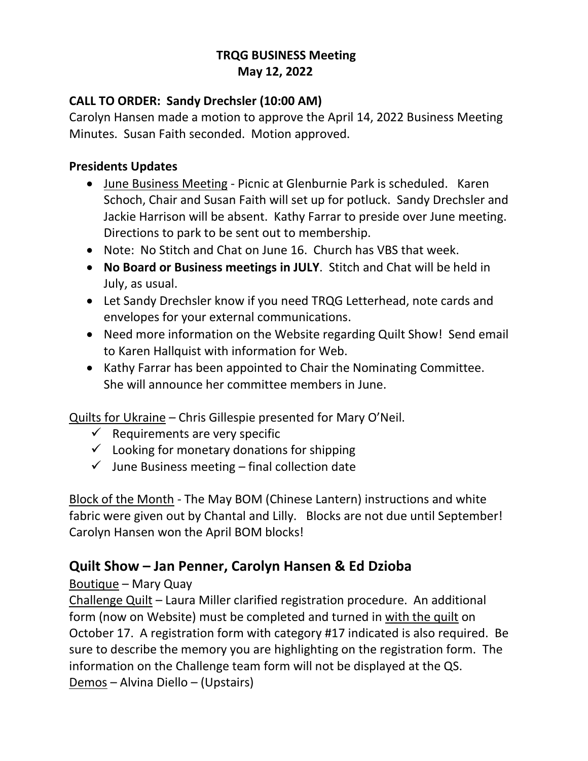### **TRQG BUSINESS Meeting May 12, 2022**

### **CALL TO ORDER: Sandy Drechsler (10:00 AM)**

Carolyn Hansen made a motion to approve the April 14, 2022 Business Meeting Minutes. Susan Faith seconded. Motion approved.

#### **Presidents Updates**

- June Business Meeting Picnic at Glenburnie Park is scheduled. Karen Schoch, Chair and Susan Faith will set up for potluck. Sandy Drechsler and Jackie Harrison will be absent. Kathy Farrar to preside over June meeting. Directions to park to be sent out to membership.
- Note: No Stitch and Chat on June 16. Church has VBS that week.
- **No Board or Business meetings in JULY**. Stitch and Chat will be held in July, as usual.
- Let Sandy Drechsler know if you need TRQG Letterhead, note cards and envelopes for your external communications.
- Need more information on the Website regarding Quilt Show! Send email to Karen Hallquist with information for Web.
- Kathy Farrar has been appointed to Chair the Nominating Committee. She will announce her committee members in June.

Quilts for Ukraine – Chris Gillespie presented for Mary O'Neil.

- $\checkmark$  Requirements are very specific
- $\checkmark$  Looking for monetary donations for shipping
- $\checkmark$  June Business meeting final collection date

Block of the Month - The May BOM (Chinese Lantern) instructions and white fabric were given out by Chantal and Lilly. Blocks are not due until September! Carolyn Hansen won the April BOM blocks!

# **Quilt Show – Jan Penner, Carolyn Hansen & Ed Dzioba**

### Boutique – Mary Quay

Challenge Quilt – Laura Miller clarified registration procedure. An additional form (now on Website) must be completed and turned in with the quilt on October 17. A registration form with category #17 indicated is also required. Be sure to describe the memory you are highlighting on the registration form. The information on the Challenge team form will not be displayed at the QS. Demos – Alvina Diello – (Upstairs)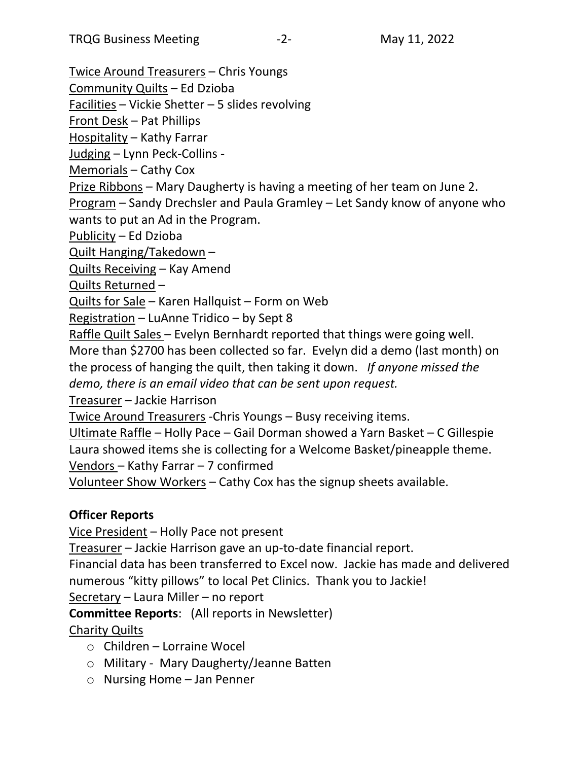Twice Around Treasurers – Chris Youngs

Community Quilts – Ed Dzioba

Facilities – Vickie Shetter – 5 slides revolving

Front Desk – Pat Phillips

Hospitality – Kathy Farrar

Judging – Lynn Peck-Collins -

Memorials – Cathy Cox

Prize Ribbons – Mary Daugherty is having a meeting of her team on June 2. Program – Sandy Drechsler and Paula Gramley – Let Sandy know of anyone who wants to put an Ad in the Program.

Publicity – Ed Dzioba

Quilt Hanging/Takedown –

Quilts Receiving – Kay Amend

Quilts Returned –

Quilts for Sale – Karen Hallquist – Form on Web

Registration – LuAnne Tridico – by Sept 8

Raffle Quilt Sales – Evelyn Bernhardt reported that things were going well. More than \$2700 has been collected so far. Evelyn did a demo (last month) on the process of hanging the quilt, then taking it down. *If anyone missed the demo, there is an email video that can be sent upon request.*

Treasurer – Jackie Harrison

Twice Around Treasurers -Chris Youngs – Busy receiving items.

Ultimate Raffle – Holly Pace – Gail Dorman showed a Yarn Basket – C Gillespie Laura showed items she is collecting for a Welcome Basket/pineapple theme. Vendors – Kathy Farrar – 7 confirmed

Volunteer Show Workers – Cathy Cox has the signup sheets available.

# **Officer Reports**

Vice President – Holly Pace not present

Treasurer – Jackie Harrison gave an up-to-date financial report.

Financial data has been transferred to Excel now. Jackie has made and delivered numerous "kitty pillows" to local Pet Clinics. Thank you to Jackie!

Secretary – Laura Miller – no report

**Committee Reports**: (All reports in Newsletter)

# Charity Quilts

- o Children Lorraine Wocel
- o Military Mary Daugherty/Jeanne Batten
- o Nursing Home Jan Penner